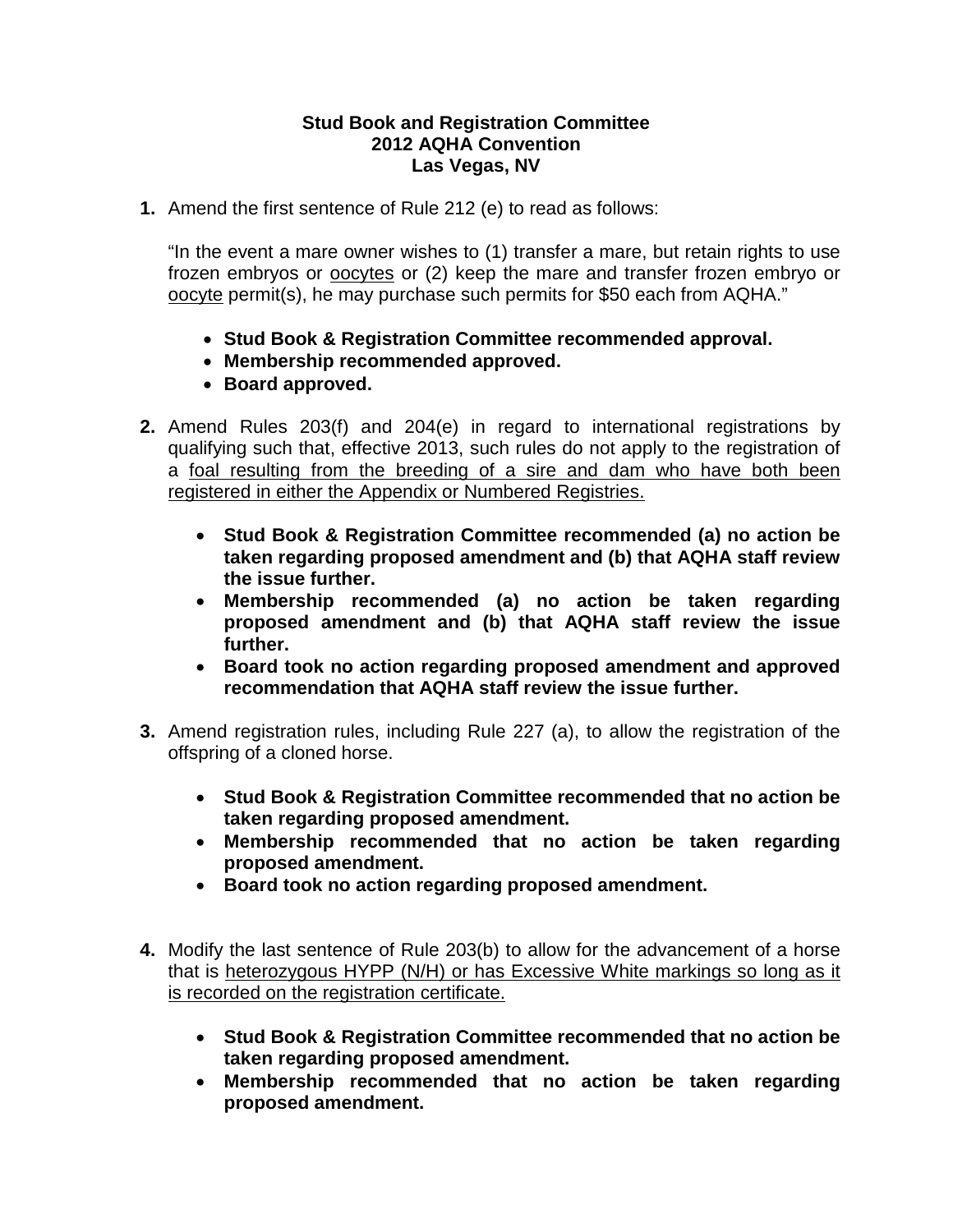## **Stud Book and Registration Committee 2012 AQHA Convention Las Vegas, NV**

**1.** Amend the first sentence of Rule 212 (e) to read as follows:

"In the event a mare owner wishes to (1) transfer a mare, but retain rights to use frozen embryos or oocytes or (2) keep the mare and transfer frozen embryo or oocyte permit(s), he may purchase such permits for \$50 each from AQHA."

- **Stud Book & Registration Committee recommended approval.**
- **Membership recommended approved.**
- **Board approved.**
- **2.** Amend Rules 203(f) and 204(e) in regard to international registrations by qualifying such that, effective 2013, such rules do not apply to the registration of a foal resulting from the breeding of a sire and dam who have both been registered in either the Appendix or Numbered Registries.
	- **Stud Book & Registration Committee recommended (a) no action be taken regarding proposed amendment and (b) that AQHA staff review the issue further.**
	- **Membership recommended (a) no action be taken regarding proposed amendment and (b) that AQHA staff review the issue further.**
	- **Board took no action regarding proposed amendment and approved recommendation that AQHA staff review the issue further.**
- **3.** Amend registration rules, including Rule 227 (a), to allow the registration of the offspring of a cloned horse.
	- **Stud Book & Registration Committee recommended that no action be taken regarding proposed amendment.**
	- **Membership recommended that no action be taken regarding proposed amendment.**
	- **Board took no action regarding proposed amendment.**
- **4.** Modify the last sentence of Rule 203(b) to allow for the advancement of a horse that is heterozygous HYPP (N/H) or has Excessive White markings so long as it is recorded on the registration certificate.
	- **Stud Book & Registration Committee recommended that no action be taken regarding proposed amendment.**
	- **Membership recommended that no action be taken regarding proposed amendment.**